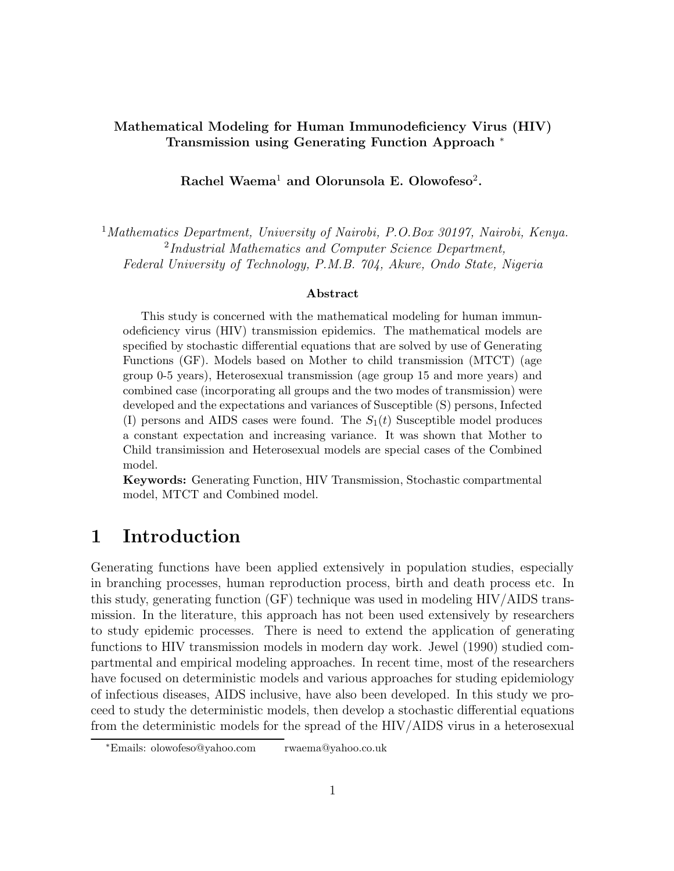#### **Mathematical Modeling for Human Immunodeficiency Virus (HIV) Transmission using Generating Function Approach** <sup>∗</sup>

**Rachel Waema**<sup>1</sup> **and Olorunsola E. Olowofeso**<sup>2</sup>**.**

<sup>1</sup>Mathematics Department, University of Nairobi, P.O.Box 30197, Nairobi, Kenya. <sup>2</sup>Industrial Mathematics and Computer Science Department, Federal University of Technology, P.M.B. 704, Akure, Ondo State, Nigeria

#### **Abstract**

This study is concerned with the mathematical modeling for human immunodeficiency virus (HIV) transmission epidemics. The mathematical models are specified by stochastic differential equations that are solved by use of Generating Functions (GF). Models based on Mother to child transmission (MTCT) (age group 0-5 years), Heterosexual transmission (age group 15 and more years) and combined case (incorporating all groups and the two modes of transmission) were developed and the expectations and variances of Susceptible (S) persons, Infected (I) persons and AIDS cases were found. The  $S_1(t)$  Susceptible model produces a constant expectation and increasing variance. It was shown that Mother to Child transimission and Heterosexual models are special cases of the Combined model.

**Keywords:** Generating Function, HIV Transmission, Stochastic compartmental model, MTCT and Combined model.

# **1 Introduction**

Generating functions have been applied extensively in population studies, especially in branching processes, human reproduction process, birth and death process etc. In this study, generating function (GF) technique was used in modeling HIV/AIDS transmission. In the literature, this approach has not been used extensively by researchers to study epidemic processes. There is need to extend the application of generating functions to HIV transmission models in modern day work. Jewel (1990) studied compartmental and empirical modeling approaches. In recent time, most of the researchers have focused on deterministic models and various approaches for studing epidemiology of infectious diseases, AIDS inclusive, have also been developed. In this study we proceed to study the deterministic models, then develop a stochastic differential equations from the deterministic models for the spread of the HIV/AIDS virus in a heterosexual

<sup>∗</sup>Emails: olowofeso@yahoo.com rwaema@yahoo.co.uk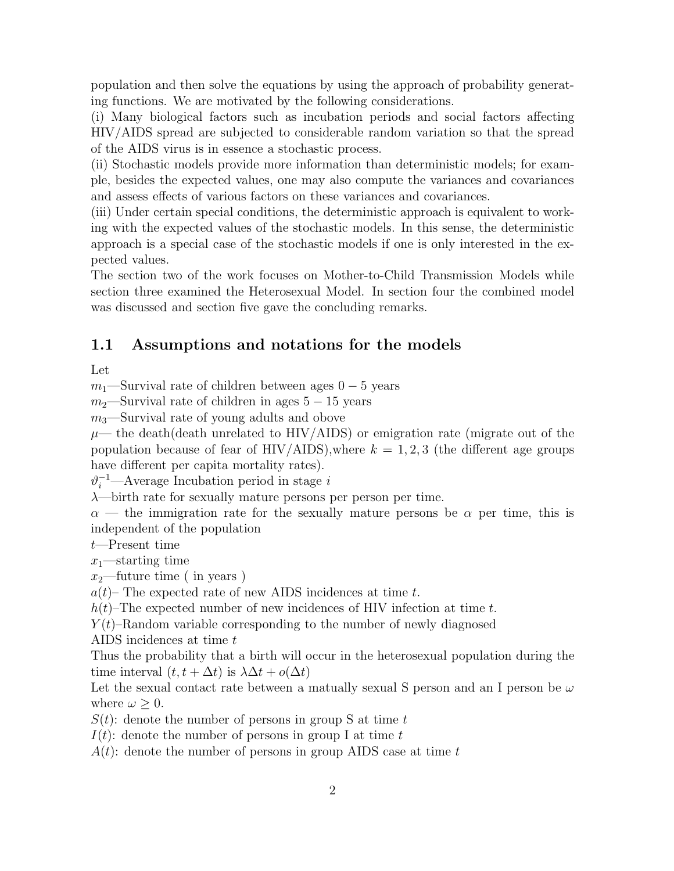population and then solve the equations by using the approach of probability generating functions. We are motivated by the following considerations.

(i) Many biological factors such as incubation periods and social factors affecting HIV/AIDS spread are subjected to considerable random variation so that the spread of the AIDS virus is in essence a stochastic process.

(ii) Stochastic models provide more information than deterministic models; for example, besides the expected values, one may also compute the variances and covariances and assess effects of various factors on these variances and covariances.

(iii) Under certain special conditions, the deterministic approach is equivalent to working with the expected values of the stochastic models. In this sense, the deterministic approach is a special case of the stochastic models if one is only interested in the expected values.

The section two of the work focuses on Mother-to-Child Transmission Models while section three examined the Heterosexual Model. In section four the combined model was discussed and section five gave the concluding remarks.

#### **1.1 Assumptions and notations for the models**

Let

 $m_1$ —Survival rate of children between ages  $0-5$  years

 $m_2$ —Survival rate of children in ages  $5 - 15$  years

 $m_3$ —Survival rate of young adults and obove

 $\mu$ — the death(death unrelated to HIV/AIDS) or emigration rate (migrate out of the population because of fear of HIV/AIDS), where  $k = 1, 2, 3$  (the different age groups have different per capita mortality rates).

 $\vartheta_i^{-1}$ —Average Incubation period in stage i

 $\lambda$ —birth rate for sexually mature persons per person per time.

 $\alpha$  — the immigration rate for the sexually mature persons be  $\alpha$  per time, this is independent of the population

t—Present time

 $x_1$ —starting time

 $x_2$ —future time (in years)

 $a(t)$ – The expected rate of new AIDS incidences at time t.

 $h(t)$ –The expected number of new incidences of HIV infection at time t.

 $Y(t)$ –Random variable corresponding to the number of newly diagnosed

AIDS incidences at time t

Thus the probability that a birth will occur in the heterosexual population during the time interval  $(t, t + \Delta t)$  is  $\lambda \Delta t + o(\Delta t)$ 

Let the sexual contact rate between a matually sexual S person and an I person be  $\omega$ where  $\omega > 0$ .

 $S(t)$ : denote the number of persons in group S at time t

 $I(t)$ : denote the number of persons in group I at time t

 $A(t)$ : denote the number of persons in group AIDS case at time t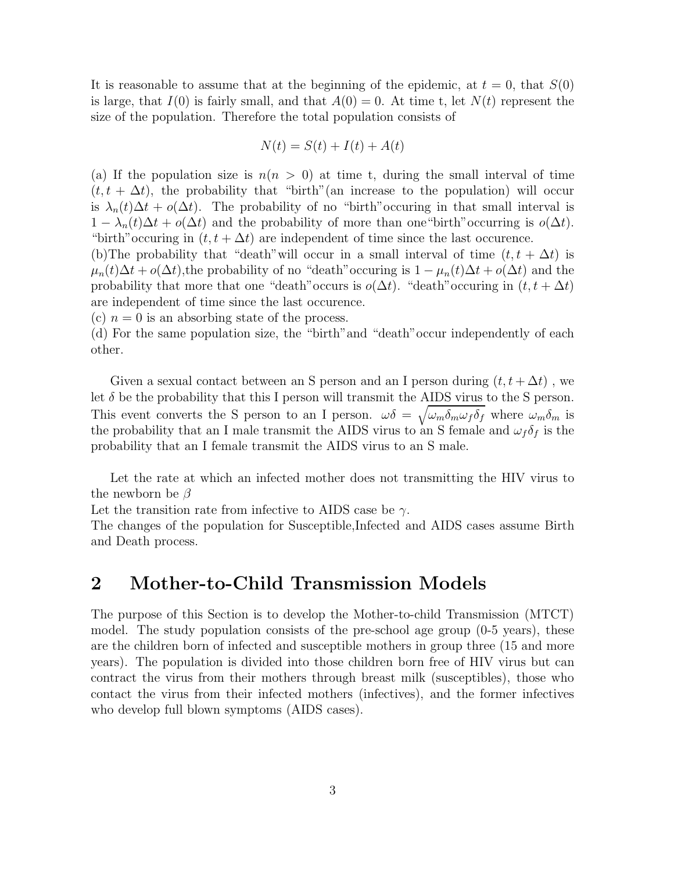It is reasonable to assume that at the beginning of the epidemic, at  $t = 0$ , that  $S(0)$ is large, that  $I(0)$  is fairly small, and that  $A(0) = 0$ . At time t, let  $N(t)$  represent the size of the population. Therefore the total population consists of

$$
N(t) = S(t) + I(t) + A(t)
$$

(a) If the population size is  $n(n > 0)$  at time t, during the small interval of time  $(t, t + \Delta t)$ , the probability that "birth" (an increase to the population) will occur is  $\lambda_n(t)\Delta t + o(\Delta t)$ . The probability of no "birth" occuring in that small interval is  $1 - \lambda_n(t)\Delta t + o(\Delta t)$  and the probability of more than one "birth" occurring is  $o(\Delta t)$ . "birth" occuring in  $(t, t + \Delta t)$  are independent of time since the last occurence.

(b)The probability that "death" will occur in a small interval of time  $(t, t + \Delta t)$  is  $\mu_n(t)\Delta t + o(\Delta t)$ , the probability of no "death" occuring is  $1 - \mu_n(t)\Delta t + o(\Delta t)$  and the probability that more that one "death" occurs is  $o(\Delta t)$ . "death" occuring in  $(t, t + \Delta t)$ are independent of time since the last occurence.

(c)  $n = 0$  is an absorbing state of the process.

(d) For the same population size, the "birth"and "death"occur independently of each other.

Given a sexual contact between an S person and an I person during  $(t, t + \Delta t)$ , we let  $\delta$  be the probability that this I person will transmit the AIDS virus to the S person. This event converts the S person to an I person.  $\omega \delta = \sqrt{\omega_m \delta_m \omega_f \delta_f}$  where  $\omega_m \delta_m$  is the probability that an I male transmit the AIDS virus to an S female and  $\omega_f \delta_f$  is the probability that an I female transmit the AIDS virus to an S male.

Let the rate at which an infected mother does not transmitting the HIV virus to the newborn be  $\beta$ 

Let the transition rate from infective to AIDS case be  $\gamma$ .

The changes of the population for Susceptible,Infected and AIDS cases assume Birth and Death process.

# **2 Mother-to-Child Transmission Models**

The purpose of this Section is to develop the Mother-to-child Transmission (MTCT) model. The study population consists of the pre-school age group (0-5 years), these are the children born of infected and susceptible mothers in group three (15 and more years). The population is divided into those children born free of HIV virus but can contract the virus from their mothers through breast milk (susceptibles), those who contact the virus from their infected mothers (infectives), and the former infectives who develop full blown symptoms (AIDS cases).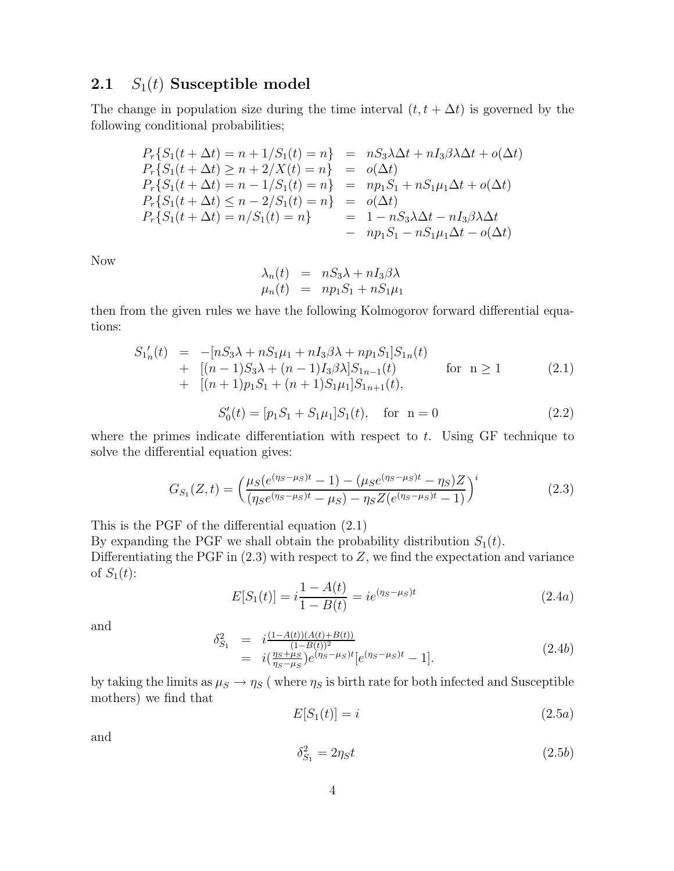#### **2.1**  $S_1(t)$  **Susceptible model**

The change in population size during the time interval  $(t, t + \Delta t)$  is governed by the following conditional probabilities;

$$
P_r\{S_1(t + \Delta t) = n + 1/S_1(t) = n\} = nS_3\lambda\Delta t + nI_3\beta\lambda\Delta t + o(\Delta t)
$$
  
\n
$$
P_r\{S_1(t + \Delta t) \ge n + 2/X(t) = n\} = o(\Delta t)
$$
  
\n
$$
P_r\{S_1(t + \Delta t) = n - 1/S_1(t) = n\} = np_1S_1 + nS_1\mu_1\Delta t + o(\Delta t)
$$
  
\n
$$
P_r\{S_1(t + \Delta t) \le n - 2/S_1(t) = n\} = o(\Delta t)
$$
  
\n
$$
P_r\{S_1(t + \Delta t) = n/S_1(t) = n\} = 1 - nS_3\lambda\Delta t - nI_3\beta\lambda\Delta t
$$
  
\n
$$
- np_1S_1 - nS_1\mu_1\Delta t - o(\Delta t)
$$

Now

$$
\lambda_n(t) = nS_3\lambda + nI_3\beta\lambda
$$
  

$$
\mu_n(t) = np_1S_1 + nS_1\mu_1
$$

then from the given rules we have the following Kolmogorov forward differential equations:

$$
S'_{1n}(t) = -[nS_3\lambda + nS_1\mu_1 + nI_3\beta\lambda + np_1S_1]S_{1n}(t)
$$
  
+ 
$$
[(n-1)S_3\lambda + (n-1)I_3\beta\lambda]S_{1n-1}(t)
$$
 for  $n \ge 1$   
+ 
$$
[(n+1)p_1S_1 + (n+1)S_1\mu_1]S_{1n+1}(t)
$$
, (2.1)

$$
S_0'(t) = [p_1 S_1 + S_1 \mu_1] S_1(t), \quad \text{for} \quad n = 0 \tag{2.2}
$$

where the primes indicate differentiation with respect to  $t$ . Using GF technique to solve the differential equation gives:

$$
G_{S_1}(Z,t) = \left(\frac{\mu_S(e^{(\eta_S - \mu_S)t} - 1) - (\mu_S e^{(\eta_S - \mu_S)t} - \eta_S)Z}{(\eta_S e^{(\eta_S - \mu_S)t} - \mu_S) - \eta_S Z(e^{(\eta_S - \mu_S)t} - 1)}\right)^i
$$
(2.3)

This is the PGF of the differential equation (2.1)

By expanding the PGF we shall obtain the probability distribution  $S_1(t)$ . Differentiating the PGF in  $(2.3)$  with respect to Z, we find the expectation and variance of  $S_1(t)$ :

$$
E[S_1(t)] = i\frac{1 - A(t)}{1 - B(t)} = ie^{(\eta_S - \mu_S)t}
$$
\n(2.4a)

and

$$
\delta_{S_1}^2 = i \frac{(1 - A(t))(A(t) + B(t))}{(1 - B(t))^2} \n= i \left( \frac{\eta_S + \mu_S}{\eta_S - \mu_S} \right) e^{(\eta_S - \mu_S)t} [e^{(\eta_S - \mu_S)t} - 1].
$$
\n(2.4b)

by taking the limits as  $\mu_S \to \eta_S$  (where  $\eta_S$  is birth rate for both infected and Susceptible mothers) we find that

$$
E[S_1(t)] = i \tag{2.5a}
$$

and

$$
\delta_{S_1}^2 = 2\eta_S t \tag{2.5b}
$$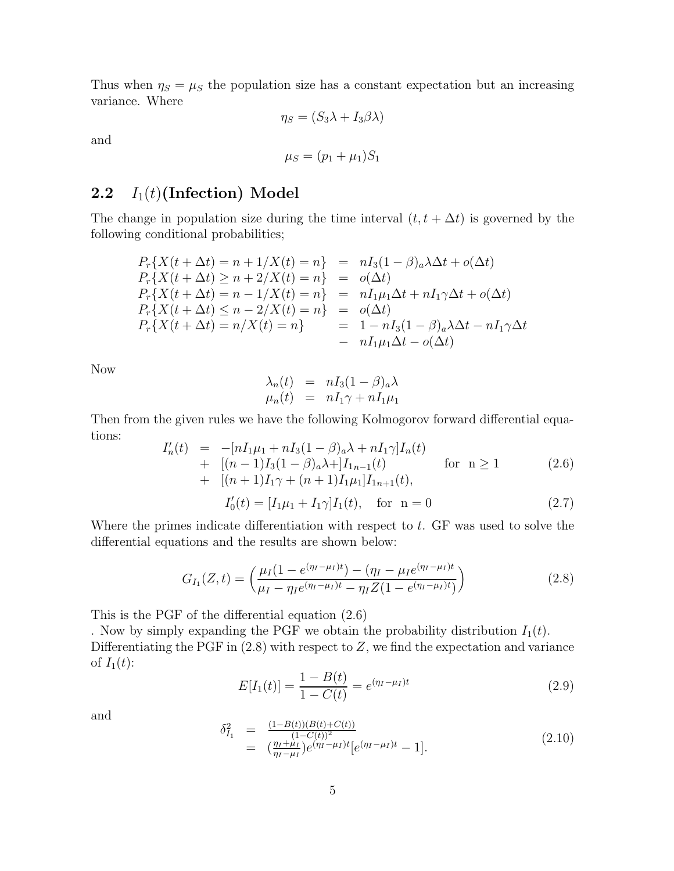Thus when  $\eta_s = \mu_s$  the population size has a constant expectation but an increasing variance. Where

 $\eta_S = (S_3 \lambda + I_3 \beta \lambda)$ 

and

$$
\mu_S = (p_1 + \mu_1)S_1
$$

#### **2.2**  $I_1(t)$  (Infection) Model

The change in population size during the time interval  $(t, t + \Delta t)$  is governed by the following conditional probabilities;

$$
P_r\{X(t + \Delta t) = n + 1/X(t) = n\} = nI_3(1 - \beta)_a \lambda \Delta t + o(\Delta t)
$$
  
\n
$$
P_r\{X(t + \Delta t) \ge n + 2/X(t) = n\} = o(\Delta t)
$$
  
\n
$$
P_r\{X(t + \Delta t) = n - 1/X(t) = n\} = nI_1\mu_1 \Delta t + nI_1\gamma \Delta t + o(\Delta t)
$$
  
\n
$$
P_r\{X(t + \Delta t) \le n - 2/X(t) = n\} = o(\Delta t)
$$
  
\n
$$
P_r\{X(t + \Delta t) = n/X(t) = n\} = 1 - nI_3(1 - \beta)_a \lambda \Delta t - nI_1\gamma \Delta t
$$
  
\n
$$
= nI_1\mu_1 \Delta t - o(\Delta t)
$$

Now

$$
\begin{array}{rcl}\n\lambda_n(t) & = & nI_3(1-\beta)_a \lambda \\
\mu_n(t) & = & nI_1 \gamma + nI_1 \mu_1\n\end{array}
$$

Then from the given rules we have the following Kolmogorov forward differential equations:  $\mathbf{r}$ l  $\alpha$ 

$$
I'_{n}(t) = -[nI_{1}\mu_{1} + nI_{3}(1-\beta)_{a}\lambda + nI_{1}\gamma]I_{n}(t)
$$
  
+ 
$$
[(n-1)I_{3}(1-\beta)_{a}\lambda +]I_{1n-1}(t)
$$
 for  $n \ge 1$  (2.6)  
+ 
$$
[(n+1)I_{1}\gamma + (n+1)I_{1}\mu_{1}]I_{1n+1}(t),
$$
  

$$
I'_{0}(t) = [I_{1}\mu_{1} + I_{1}\gamma]I_{1}(t),
$$
 for  $n = 0$  (2.7)

Where the primes indicate differentiation with respect to t. GF was used to solve the differential equations and the results are shown below:

$$
G_{I_1}(Z,t) = \left(\frac{\mu_I (1 - e^{(\eta_I - \mu_I)t}) - (\eta_I - \mu_I e^{(\eta_I - \mu_I)t})}{\mu_I - \eta_I e^{(\eta_I - \mu_I)t} - \eta_I Z (1 - e^{(\eta_I - \mu_I)t})}\right)
$$
(2.8)

This is the PGF of the differential equation (2.6)

. Now by simply expanding the PGF we obtain the probability distribution  $I_1(t)$ . Differentiating the PGF in  $(2.8)$  with respect to Z, we find the expectation and variance of  $I_1(t)$ :

$$
E[I_1(t)] = \frac{1 - B(t)}{1 - C(t)} = e^{(\eta_I - \mu_I)t}
$$
\n(2.9)

and

$$
\delta_{I_1}^2 = \frac{(1 - B(t))(B(t) + C(t))}{(1 - C(t))^2} \n= \left(\frac{\eta_I + \mu_I}{\eta_I - \mu_I}\right) e^{(\eta_I - \mu_I)t} [e^{(\eta_I - \mu_I)t} - 1].
$$
\n(2.10)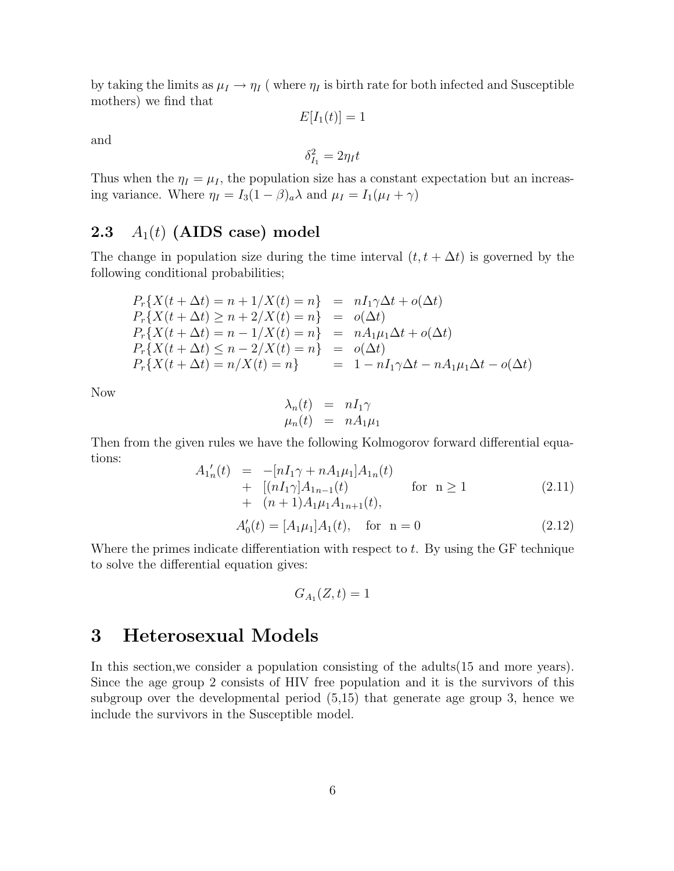by taking the limits as  $\mu_I \to \eta_I$  (where  $\eta_I$  is birth rate for both infected and Susceptible mothers) we find that

 $E[I_1(t)] = 1$ 

and

$$
\delta_{I_1}^2 = 2\eta_I t
$$

Thus when the  $\eta_I = \mu_I$ , the population size has a constant expectation but an increasing variance. Where  $\eta_I = I_3(1-\beta)_a \lambda$  and  $\mu_I = I_1(\mu_I + \gamma)$ 

#### **2.3**  $A_1(t)$  **(AIDS** case) model

The change in population size during the time interval  $(t, t + \Delta t)$  is governed by the following conditional probabilities;

$$
P_r\{X(t + \Delta t) = n + 1/X(t) = n\} = nI_1\gamma\Delta t + o(\Delta t)
$$
  
\n
$$
P_r\{X(t + \Delta t) \ge n + 2/X(t) = n\} = o(\Delta t)
$$
  
\n
$$
P_r\{X(t + \Delta t) = n - 1/X(t) = n\} = nA_1\mu_1\Delta t + o(\Delta t)
$$
  
\n
$$
P_r\{X(t + \Delta t) \le n - 2/X(t) = n\} = o(\Delta t)
$$
  
\n
$$
P_r\{X(t + \Delta t) = n/X(t) = n\} = 1 - nI_1\gamma\Delta t - nA_1\mu_1\Delta t - o(\Delta t)
$$

Now

$$
\lambda_n(t) = nI_1\gamma
$$
  

$$
\mu_n(t) = nA_1\mu_1
$$

Then from the given rules we have the following Kolmogorov forward differential equations:

$$
A'_{1n}(t) = -[nI_1\gamma + nA_1\mu_1]A_{1n}(t)
$$
  
+ 
$$
[(nI_1\gamma)A_{1n-1}(t) \qquad \text{for } n \ge 1
$$
  
+ 
$$
(n+1)A_1\mu_1A_{1n+1}(t),
$$
 (2.11)

$$
A'_0(t) = [A_1 \mu_1] A_1(t), \quad \text{for} \quad n = 0 \tag{2.12}
$$

Where the primes indicate differentiation with respect to  $t$ . By using the GF technique to solve the differential equation gives:

$$
G_{A_1}(Z,t) = 1
$$

# **3 Heterosexual Models**

In this section,we consider a population consisting of the adults(15 and more years). Since the age group 2 consists of HIV free population and it is the survivors of this subgroup over the developmental period (5,15) that generate age group 3, hence we include the survivors in the Susceptible model.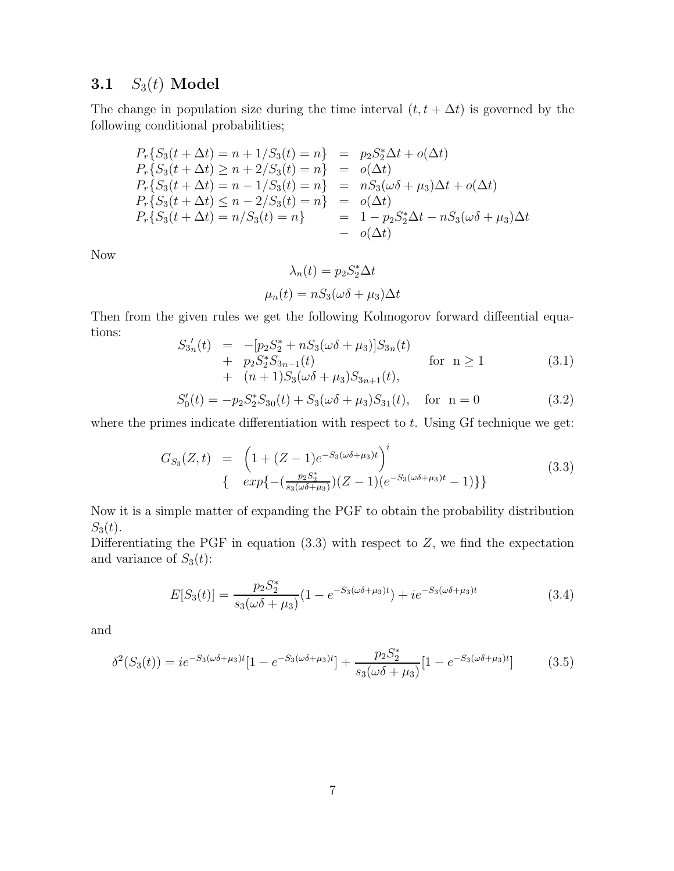#### **3.1**  $S_3(t)$  **Model**

The change in population size during the time interval  $(t, t + \Delta t)$  is governed by the following conditional probabilities;

$$
P_r\{S_3(t + \Delta t) = n + 1/S_3(t) = n\} = p_2S_2^* \Delta t + o(\Delta t) \nP_r\{S_3(t + \Delta t) \ge n + 2/S_3(t) = n\} = o(\Delta t) \nP_r\{S_3(t + \Delta t) = n - 1/S_3(t) = n\} = nS_3(\omega \delta + \mu_3)\Delta t + o(\Delta t) \nP_r\{S_3(t + \Delta t) \le n - 2/S_3(t) = n\} = o(\Delta t) \nP_r\{S_3(t + \Delta t) = n/S_3(t) = n\} = 1 - p_2S_2^* \Delta t - nS_3(\omega \delta + \mu_3)\Delta t \n- o(\Delta t)
$$

Now

$$
\lambda_n(t) = p_2 S_2^* \Delta t
$$

$$
\mu_n(t) = n S_3(\omega \delta + \mu_3) \Delta t
$$

Then from the given rules we get the following Kolmogorov forward diffeential equations:

$$
S_{3n}'(t) = -[p_2S_2^* + nS_3(\omega \delta + \mu_3)]S_{3n}(t)
$$
  
+  $p_2S_2^*S_{3n-1}(t)$  for  $n \ge 1$   
+  $(n+1)S_3(\omega \delta + \mu_3)S_{3n+1}(t)$ , (3.1)

$$
S_0'(t) = -p_2 S_2^* S_{30}(t) + S_3(\omega \delta + \mu_3) S_{31}(t), \quad \text{for} \ \mathbf{n} = 0 \tag{3.2}
$$

where the primes indicate differentiation with respect to  $t$ . Using Gf technique we get:

$$
G_{S_3}(Z,t) = \left(1 + (Z-1)e^{-S_3(\omega\delta + \mu_3)t}\right)^i
$$
  

$$
\left\{\exp\left\{-\left(\frac{p_2S_2^*}{s_3(\omega\delta + \mu_3)}\right)(Z-1)(e^{-S_3(\omega\delta + \mu_3)t} - 1)\right\}\right\}
$$
(3.3)

Now it is a simple matter of expanding the PGF to obtain the probability distribution  $S_3(t)$ .

Differentiating the PGF in equation  $(3.3)$  with respect to  $Z$ , we find the expectation and variance of  $S_3(t)$ :

$$
E[S_3(t)] = \frac{p_2 S_2^*}{s_3(\omega \delta + \mu_3)} (1 - e^{-S_3(\omega \delta + \mu_3)t}) + i e^{-S_3(\omega \delta + \mu_3)t}
$$
(3.4)

and

$$
\delta^2(S_3(t)) = ie^{-S_3(\omega\delta + \mu_3)t}[1 - e^{-S_3(\omega\delta + \mu_3)t}] + \frac{p_2 S_2^*}{s_3(\omega\delta + \mu_3)}[1 - e^{-S_3(\omega\delta + \mu_3)t}]
$$
(3.5)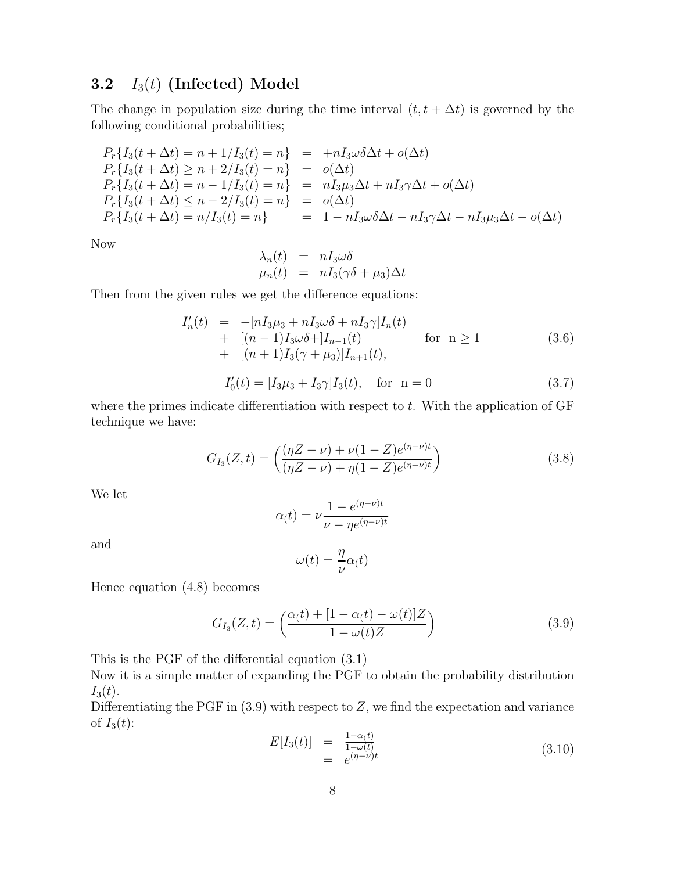#### **3.2** I3(t) **(Infected) Model**

The change in population size during the time interval  $(t, t + \Delta t)$  is governed by the following conditional probabilities;

$$
P_r\{I_3(t + \Delta t) = n + 1/I_3(t) = n\} = +nI_3\omega\delta\Delta t + o(\Delta t) \nP_r\{I_3(t + \Delta t) \ge n + 2/I_3(t) = n\} = o(\Delta t) \nP_r\{I_3(t + \Delta t) = n - 1/I_3(t) = n\} = nI_3\mu_3\Delta t + nI_3\gamma\Delta t + o(\Delta t) \nP_r\{I_3(t + \Delta t) \le n - 2/I_3(t) = n\} = o(\Delta t) \nP_r\{I_3(t + \Delta t) = n/I_3(t) = n\} = 1 - nI_3\omega\delta\Delta t - nI_3\gamma\Delta t - nI_3\mu_3\Delta t - o(\Delta t)
$$

Now

$$
\lambda_n(t) = nI_3\omega\delta
$$
  

$$
\mu_n(t) = nI_3(\gamma\delta + \mu_3)\Delta t
$$

Then from the given rules we get the difference equations:

$$
I'_{n}(t) = -[nI_{3}\mu_{3} + nI_{3}\omega\delta + nI_{3}\gamma]I_{n}(t)
$$
  
+ 
$$
[(n-1)I_{3}\omega\delta +]I_{n-1}(t)
$$
 for  $n \ge 1$   
+ 
$$
[(n+1)I_{3}(\gamma + \mu_{3})]I_{n+1}(t),
$$
 (3.6)

$$
I_0'(t) = [I_3\mu_3 + I_3\gamma]I_3(t), \quad \text{for} \quad n = 0 \tag{3.7}
$$

where the primes indicate differentiation with respect to  $t$ . With the application of  $GF$ technique we have:

$$
G_{I_3}(Z,t) = \left(\frac{(\eta Z - \nu) + \nu (1 - Z)e^{(\eta - \nu)t}}{(\eta Z - \nu) + \eta (1 - Z)e^{(\eta - \nu)t}}\right)
$$
(3.8)

We let

$$
\alpha(t) = \nu \frac{1 - e^{(\eta - \nu)t}}{\nu - \eta e^{(\eta - \nu)t}}
$$

and

$$
\omega(t) = \frac{\eta}{\nu} \alpha(t)
$$

Hence equation (4.8) becomes

$$
G_{I_3}(Z,t) = \left(\frac{\alpha(t) + [1 - \alpha(t) - \omega(t)]Z}{1 - \omega(t)Z}\right)
$$
\n(3.9)

This is the PGF of the differential equation (3.1)

Now it is a simple matter of expanding the PGF to obtain the probability distribution  $I_3(t)$ .

Differentiating the PGF in  $(3.9)$  with respect to Z, we find the expectation and variance of  $I_3(t)$ :

$$
E[I_3(t)] = \frac{1-\alpha(t)}{1-\omega(t)}
$$
  
=  $e^{(\eta-\nu)t}$  (3.10)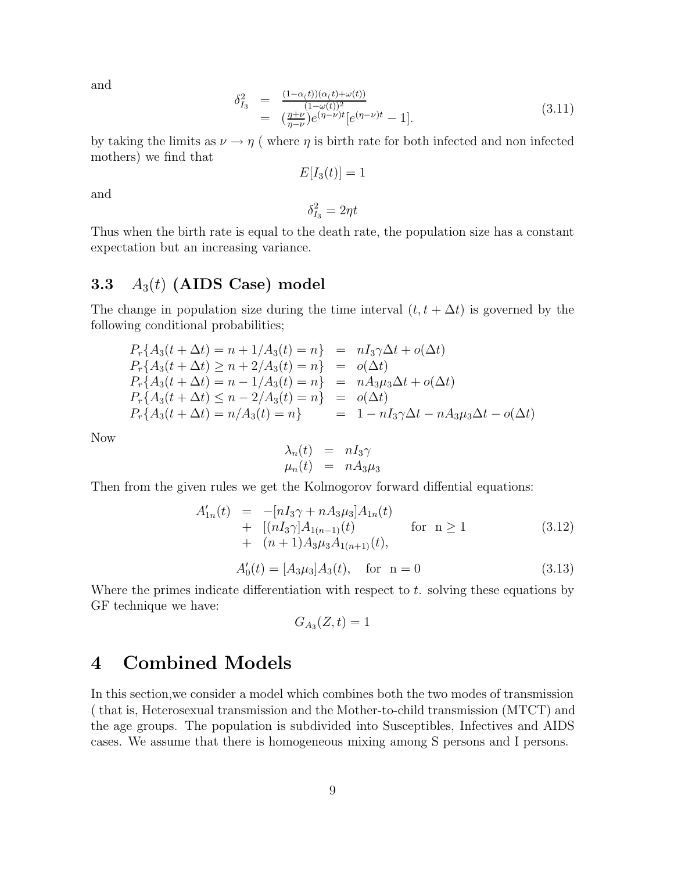and

$$
\delta_{I_3}^2 = \frac{(1-\alpha(t))(\alpha(t)+\omega(t))}{(1-\omega(t))^2} \n= \left(\frac{\eta+\nu}{\eta-\nu}\right) e^{(\eta-\nu)t} \left[e^{(\eta-\nu)t} - 1\right].
$$
\n(3.11)

by taking the limits as  $\nu \rightarrow \eta$  (where  $\eta$  is birth rate for both infected and non infected mothers) we find that

$$
E[I_3(t)] = 1
$$

and

 $\delta_{I_3}^2 = 2\eta t$ 

Thus when the birth rate is equal to the death rate, the population size has a constant expectation but an increasing variance.

#### **3.3** A3(t) **(AIDS Case) model**

The change in population size during the time interval  $(t, t + \Delta t)$  is governed by the following conditional probabilities;

$$
P_r\{A_3(t + \Delta t) = n + 1/A_3(t) = n\} = nI_3\gamma\Delta t + o(\Delta t)
$$
  
\n
$$
P_r\{A_3(t + \Delta t) \ge n + 2/A_3(t) = n\} = o(\Delta t)
$$
  
\n
$$
P_r\{A_3(t + \Delta t) = n - 1/A_3(t) = n\} = nA_3\mu_3\Delta t + o(\Delta t)
$$
  
\n
$$
P_r\{A_3(t + \Delta t) \le n - 2/A_3(t) = n\} = o(\Delta t)
$$
  
\n
$$
P_r\{A_3(t + \Delta t) = n/A_3(t) = n\} = 1 - nI_3\gamma\Delta t - nA_3\mu_3\Delta t - o(\Delta t)
$$

Now

$$
\begin{array}{rcl}\n\lambda_n(t) & = & nI_3\gamma \\
\mu_n(t) & = & nA_3\mu_3\n\end{array}
$$

Then from the given rules we get the Kolmogorov forward diffential equations:

$$
A'_{1n}(t) = -[nI_3\gamma + nA_3\mu_3]A_{1n}(t) + [(nI_3\gamma]A_{1(n-1)}(t) \quad \text{for } n \ge 1 + (n+1)A_3\mu_3A_{1(n+1)}(t),
$$
\n(3.12)

$$
A'_0(t) = [A_3\mu_3]A_3(t), \quad \text{for} \quad n = 0 \tag{3.13}
$$

Where the primes indicate differentiation with respect to  $t$ . solving these equations by GF technique we have:

$$
G_{A_3}(Z,t) = 1
$$

# **4 Combined Models**

In this section,we consider a model which combines both the two modes of transmission ( that is, Heterosexual transmission and the Mother-to-child transmission (MTCT) and the age groups. The population is subdivided into Susceptibles, Infectives and AIDS cases. We assume that there is homogeneous mixing among S persons and I persons.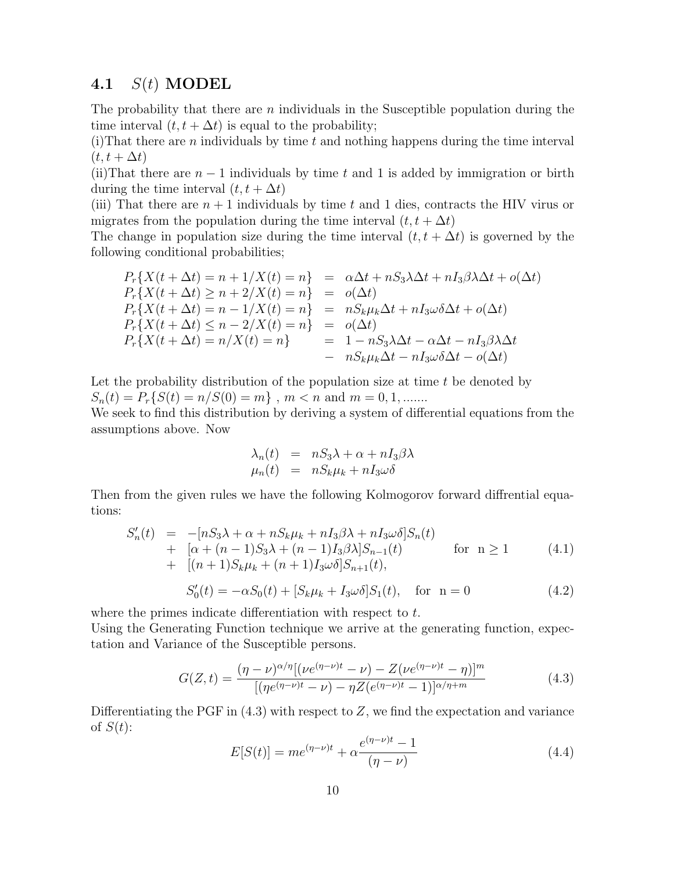#### **4.1** S(t) **MODEL**

The probability that there are  $n$  individuals in the Susceptible population during the time interval  $(t, t + \Delta t)$  is equal to the probability;

 $(i)$ That there are *n* individuals by time t and nothing happens during the time interval  $(t, t + \Delta t)$ 

(ii)That there are  $n-1$  individuals by time t and 1 is added by immigration or birth during the time interval  $(t, t + \Delta t)$ 

(iii) That there are  $n + 1$  individuals by time t and 1 dies, contracts the HIV virus or migrates from the population during the time interval  $(t, t + \Delta t)$ 

The change in population size during the time interval  $(t, t + \Delta t)$  is governed by the following conditional probabilities;

$$
P_r\{X(t + \Delta t) = n + 1/X(t) = n\} = \alpha \Delta t + nS_3 \lambda \Delta t + nI_3 \beta \lambda \Delta t + o(\Delta t)
$$
  
\n
$$
P_r\{X(t + \Delta t) \ge n + 2/X(t) = n\} = o(\Delta t)
$$
  
\n
$$
P_r\{X(t + \Delta t) = n - 1/X(t) = n\} = nS_k \mu_k \Delta t + nI_3 \omega \delta \Delta t + o(\Delta t)
$$
  
\n
$$
P_r\{X(t + \Delta t) \le n - 2/X(t) = n\} = o(\Delta t)
$$
  
\n
$$
P_r\{X(t + \Delta t) = n/X(t) = n\} = 1 - nS_3 \lambda \Delta t - \alpha \Delta t - nI_3 \beta \lambda \Delta t
$$
  
\n
$$
- nS_k \mu_k \Delta t - nI_3 \omega \delta \Delta t - o(\Delta t)
$$

Let the probability distribution of the population size at time  $t$  be denoted by  $S_n(t) = P_r\{S(t) = n/S(0) = m\}, m < n$  and  $m = 0, 1, \dots$ 

We seek to find this distribution by deriving a system of differential equations from the assumptions above. Now

$$
\lambda_n(t) = nS_3\lambda + \alpha + nI_3\beta\lambda
$$
  

$$
\mu_n(t) = nS_k\mu_k + nI_3\omega\delta
$$

Then from the given rules we have the following Kolmogorov forward diffrential equations:

$$
S'_{n}(t) = -[nS_{3}\lambda + \alpha + nS_{k}\mu_{k} + nI_{3}\beta\lambda + nI_{3}\omega\delta]S_{n}(t) + [\alpha + (n-1)S_{3}\lambda + (n-1)I_{3}\beta\lambda]S_{n-1}(t) \quad \text{for } n \ge 1
$$
 (4.1)  
+  $[(n+1)S_{k}\mu_{k} + (n+1)I_{3}\omega\delta]S_{n+1}(t),$ 

$$
S'_0(t) = -\alpha S_0(t) + [S_k \mu_k + I_3 \omega \delta] S_1(t), \quad \text{for} \ \mathbf{n} = 0 \tag{4.2}
$$

where the primes indicate differentiation with respect to t.

Using the Generating Function technique we arrive at the generating function, expectation and Variance of the Susceptible persons.

$$
G(Z,t) = \frac{(\eta - \nu)^{\alpha/\eta} [(\nu e^{(\eta - \nu)t} - \nu) - Z(\nu e^{(\eta - \nu)t} - \eta)]^m}{[(\eta e^{(\eta - \nu)t} - \nu) - \eta Z(e^{(\eta - \nu)t} - 1)]^{\alpha/\eta + m}}
$$
(4.3)

Differentiating the PGF in  $(4.3)$  with respect to Z, we find the expectation and variance of  $S(t)$ :

$$
E[S(t)] = me^{(\eta - \nu)t} + \alpha \frac{e^{(\eta - \nu)t} - 1}{(\eta - \nu)}
$$
\n(4.4)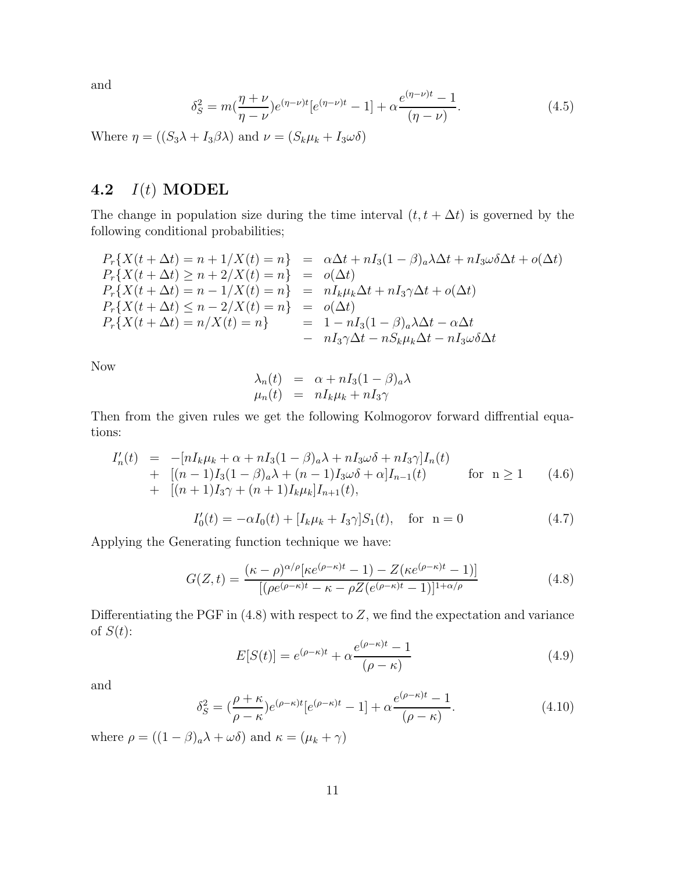and

$$
\delta_S^2 = m(\frac{\eta + \nu}{\eta - \nu})e^{(\eta - \nu)t}[e^{(\eta - \nu)t} - 1] + \alpha \frac{e^{(\eta - \nu)t} - 1}{(\eta - \nu)}.
$$
\n(4.5)

Where  $\eta = ((S_3 \lambda + I_3 \beta \lambda)$  and  $\nu = (S_k \mu_k + I_3 \omega \delta)$ 

#### **4.2** I(t) **MODEL**

The change in population size during the time interval  $(t, t + \Delta t)$  is governed by the following conditional probabilities;

$$
P_r\{X(t + \Delta t) = n + 1/X(t) = n\} = \alpha \Delta t + nI_3(1 - \beta)_a \lambda \Delta t + nI_3 \omega \delta \Delta t + o(\Delta t)
$$
  
\n
$$
P_r\{X(t + \Delta t) \ge n + 2/X(t) = n\} = o(\Delta t)
$$
  
\n
$$
P_r\{X(t + \Delta t) = n - 1/X(t) = n\} = nI_k \mu_k \Delta t + nI_3 \gamma \Delta t + o(\Delta t)
$$
  
\n
$$
P_r\{X(t + \Delta t) \le n - 2/X(t) = n\} = o(\Delta t)
$$
  
\n
$$
P_r\{X(t + \Delta t) = n/X(t) = n\} = 1 - nI_3(1 - \beta)_a \lambda \Delta t - \alpha \Delta t
$$
  
\n
$$
- nI_3 \gamma \Delta t - nS_k \mu_k \Delta t - nI_3 \omega \delta \Delta t
$$

Now

$$
\lambda_n(t) = \alpha + nI_3(1 - \beta)_a \lambda
$$
  

$$
\mu_n(t) = nI_k \mu_k + nI_3 \gamma
$$

Then from the given rules we get the following Kolmogorov forward diffrential equations:

$$
I'_{n}(t) = -[nI_{k}\mu_{k} + \alpha + nI_{3}(1-\beta)_{a}\lambda + nI_{3}\omega\delta + nI_{3}\gamma]I_{n}(t)
$$
  
+ 
$$
[(n-1)I_{3}(1-\beta)_{a}\lambda + (n-1)I_{3}\omega\delta + \alpha]I_{n-1}(t)
$$
 for  $n \ge 1$  (4.6)  
+ 
$$
[(n+1)I_{3}\gamma + (n+1)I_{k}\mu_{k}]I_{n+1}(t),
$$

$$
I_0'(t) = -\alpha I_0(t) + [I_k \mu_k + I_3 \gamma] S_1(t), \quad \text{for} \ \mathbf{n} = 0 \tag{4.7}
$$

Applying the Generating function technique we have:

$$
G(Z,t) = \frac{(\kappa - \rho)^{\alpha/\rho} [\kappa e^{(\rho - \kappa)t} - 1) - Z(\kappa e^{(\rho - \kappa)t} - 1)]}{[(\rho e^{(\rho - \kappa)t} - \kappa - \rho Z(e^{(\rho - \kappa)t} - 1)]^{1 + \alpha/\rho}}
$$
(4.8)

Differentiating the PGF in  $(4.8)$  with respect to Z, we find the expectation and variance of  $S(t)$ :

$$
E[S(t)] = e^{(\rho - \kappa)t} + \alpha \frac{e^{(\rho - \kappa)t} - 1}{(\rho - \kappa)}
$$
\n(4.9)

and

$$
\delta_S^2 = \left(\frac{\rho + \kappa}{\rho - \kappa}\right) e^{(\rho - \kappa)t} \left[e^{(\rho - \kappa)t} - 1\right] + \alpha \frac{e^{(\rho - \kappa)t} - 1}{(\rho - \kappa)}.
$$
\n(4.10)

where  $\rho = ((1 - \beta)_a \lambda + \omega \delta)$  and  $\kappa = (\mu_k + \gamma)$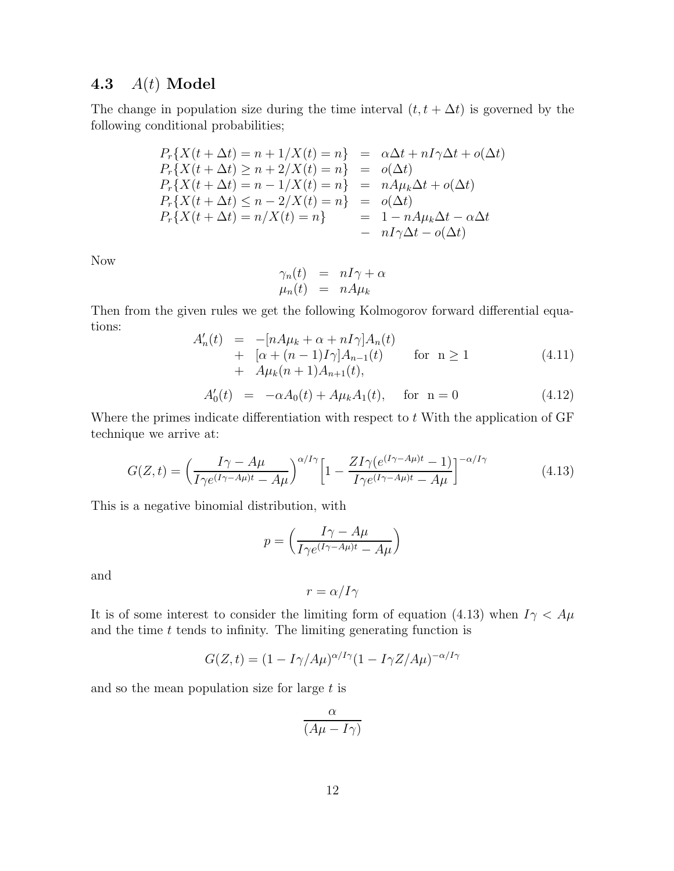#### **4.3** A(t) **Model**

The change in population size during the time interval  $(t, t + \Delta t)$  is governed by the following conditional probabilities;

$$
P_r\{X(t + \Delta t) = n + 1/X(t) = n\} = \alpha \Delta t + nI\gamma \Delta t + o(\Delta t)
$$
  
\n
$$
P_r\{X(t + \Delta t) \ge n + 2/X(t) = n\} = o(\Delta t)
$$
  
\n
$$
P_r\{X(t + \Delta t) = n - 1/X(t) = n\} = nA\mu_k \Delta t + o(\Delta t)
$$
  
\n
$$
P_r\{X(t + \Delta t) \le n - 2/X(t) = n\} = o(\Delta t)
$$
  
\n
$$
P_r\{X(t + \Delta t) = n/X(t) = n\} = 1 - nA\mu_k \Delta t - \alpha \Delta t
$$
  
\n
$$
= nI\gamma \Delta t - o(\Delta t)
$$

Now

$$
\begin{array}{rcl}\n\gamma_n(t) & = & nI\gamma + \alpha \\
\mu_n(t) & = & nA\mu_k\n\end{array}
$$

Then from the given rules we get the following Kolmogorov forward differential equations:

$$
A'_{n}(t) = -[nA\mu_{k} + \alpha + nI\gamma]A_{n}(t) + [\alpha + (n-1)I\gamma]A_{n-1}(t) \quad \text{for } n \ge 1 + A\mu_{k}(n+1)A_{n+1}(t),
$$
\n(4.11)

$$
A'_0(t) = -\alpha A_0(t) + A\mu_k A_1(t), \quad \text{for } n = 0 \tag{4.12}
$$

Where the primes indicate differentiation with respect to  $t$  With the application of GF technique we arrive at:

$$
G(Z,t) = \left(\frac{I\gamma - A\mu}{I\gamma e^{(I\gamma - A\mu)t} - A\mu}\right)^{\alpha/I\gamma} \left[1 - \frac{ZI\gamma(e^{(I\gamma - A\mu)t} - 1)}{I\gamma e^{(I\gamma - A\mu)t} - A\mu}\right]^{-\alpha/I\gamma}
$$
(4.13)

This is a negative binomial distribution, with

$$
p = \left(\frac{I\gamma - A\mu}{I\gamma e^{(I\gamma - A\mu)t} - A\mu}\right)
$$

and

$$
r = \alpha / I \gamma
$$

It is of some interest to consider the limiting form of equation (4.13) when  $I\gamma < A\mu$ and the time  $t$  tends to infinity. The limiting generating function is

$$
G(Z,t) = (1 - I\gamma/A\mu)^{\alpha/I\gamma}(1 - I\gamma Z/A\mu)^{-\alpha/I\gamma}
$$

and so the mean population size for large  $t$  is

$$
\frac{\alpha}{(A\mu - I\gamma)}
$$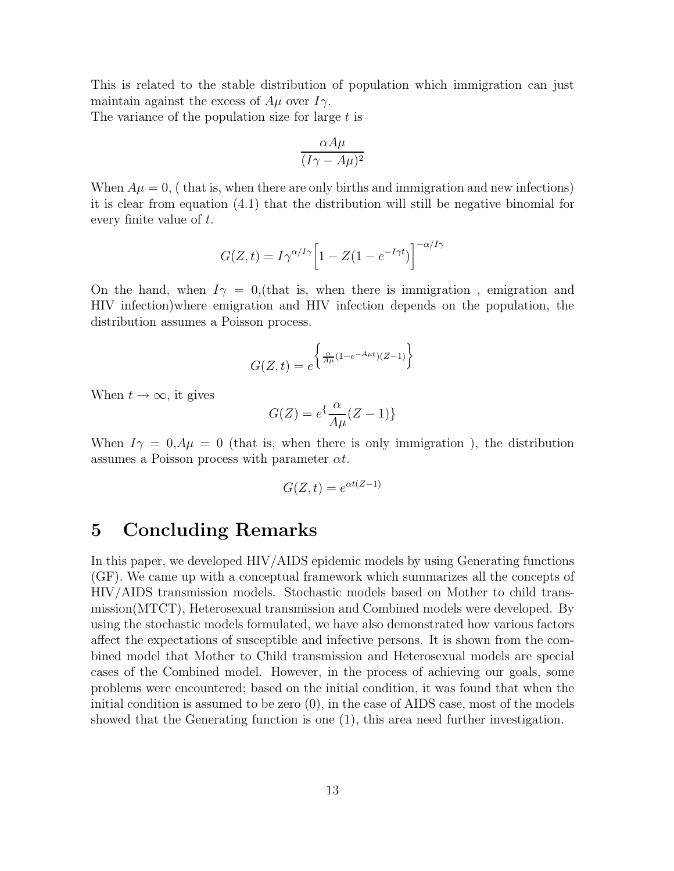This is related to the stable distribution of population which immigration can just maintain against the excess of  $A\mu$  over  $I\gamma$ .

The variance of the population size for large  $t$  is

$$
\frac{\alpha A\mu}{(I\gamma - A\mu)^2}
$$

When  $A\mu = 0$ , (that is, when there are only births and immigration and new infections) it is clear from equation (4.1) that the distribution will still be negative binomial for every finite value of t.

$$
G(Z,t) = I\gamma^{\alpha/I\gamma} \left[1 - Z(1 - e^{-I\gamma t})\right]^{-\alpha/I\gamma}
$$

On the hand, when  $I\gamma = 0$ , (that is, when there is immigration, emigration and HIV infection)where emigration and HIV infection depends on the population, the distribution assumes a Poisson process.

$$
G(Z,t) = e^{\left\{\frac{\alpha}{A\mu}(1 - e^{-A\mu t})(Z-1)\right\}}
$$

When  $t \to \infty$ , it gives

$$
G(Z) = e^{\{\frac{\alpha}{A\mu}(Z-1)\}}
$$

When  $I\gamma = 0, A\mu = 0$  (that is, when there is only immigration), the distribution assumes a Poisson process with parameter  $\alpha t$ .

$$
G(Z, t) = e^{\alpha t (Z - 1)}
$$

# **5 Concluding Remarks**

In this paper, we developed HIV/AIDS epidemic models by using Generating functions (GF). We came up with a conceptual framework which summarizes all the concepts of HIV/AIDS transmission models. Stochastic models based on Mother to child transmission(MTCT), Heterosexual transmission and Combined models were developed. By using the stochastic models formulated, we have also demonstrated how various factors affect the expectations of susceptible and infective persons. It is shown from the combined model that Mother to Child transmission and Heterosexual models are special cases of the Combined model. However, in the process of achieving our goals, some problems were encountered; based on the initial condition, it was found that when the initial condition is assumed to be zero (0), in the case of AIDS case, most of the models showed that the Generating function is one (1), this area need further investigation.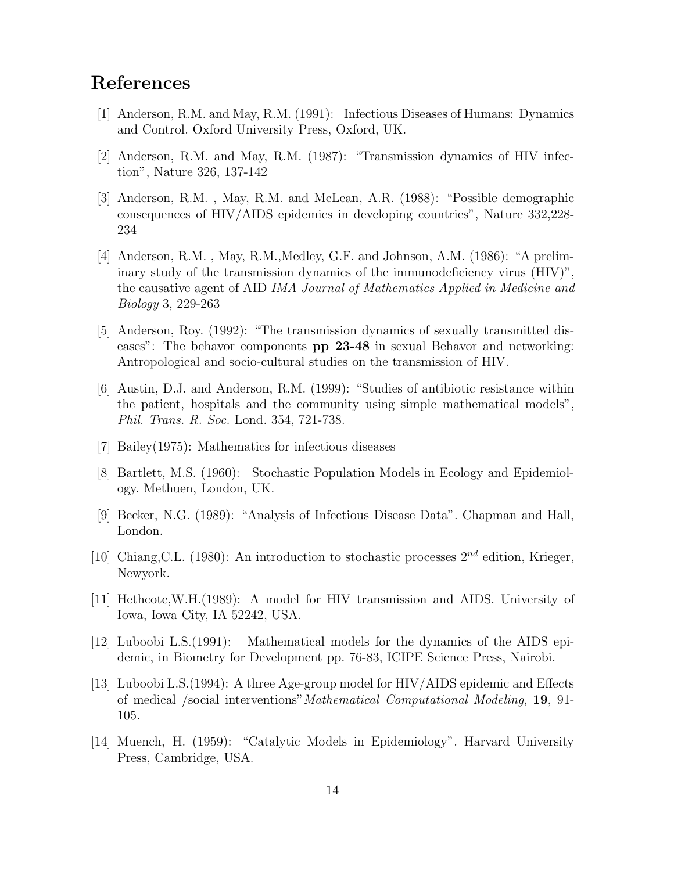# **References**

- [1] Anderson, R.M. and May, R.M. (1991): Infectious Diseases of Humans: Dynamics and Control. Oxford University Press, Oxford, UK.
- [2] Anderson, R.M. and May, R.M. (1987): "Transmission dynamics of HIV infection", Nature 326, 137-142
- [3] Anderson, R.M. , May, R.M. and McLean, A.R. (1988): "Possible demographic consequences of HIV/AIDS epidemics in developing countries", Nature 332,228- 234
- [4] Anderson, R.M. , May, R.M.,Medley, G.F. and Johnson, A.M. (1986): "A preliminary study of the transmission dynamics of the immunodeficiency virus (HIV)", the causative agent of AID IMA Journal of Mathematics Applied in Medicine and Biology 3, 229-263
- [5] Anderson, Roy. (1992): "The transmission dynamics of sexually transmitted diseases": The behavor components **pp 23-48** in sexual Behavor and networking: Antropological and socio-cultural studies on the transmission of HIV.
- [6] Austin, D.J. and Anderson, R.M. (1999): "Studies of antibiotic resistance within the patient, hospitals and the community using simple mathematical models", Phil. Trans. R. Soc. Lond. 354, 721-738.
- [7] Bailey(1975): Mathematics for infectious diseases
- [8] Bartlett, M.S. (1960): Stochastic Population Models in Ecology and Epidemiology. Methuen, London, UK.
- [9] Becker, N.G. (1989): "Analysis of Infectious Disease Data". Chapman and Hall, London.
- [10] Chiang, C.L. (1980): An introduction to stochastic processes  $2^{nd}$  edition, Krieger, Newyork.
- [11] Hethcote,W.H.(1989): A model for HIV transmission and AIDS. University of Iowa, Iowa City, IA 52242, USA.
- [12] Luboobi L.S.(1991): Mathematical models for the dynamics of the AIDS epidemic, in Biometry for Development pp. 76-83, ICIPE Science Press, Nairobi.
- [13] Luboobi L.S.(1994): A three Age-group model for HIV/AIDS epidemic and Effects of medical /social interventions"Mathematical Computational Modeling, **19**, 91- 105.
- [14] Muench, H. (1959): "Catalytic Models in Epidemiology". Harvard University Press, Cambridge, USA.